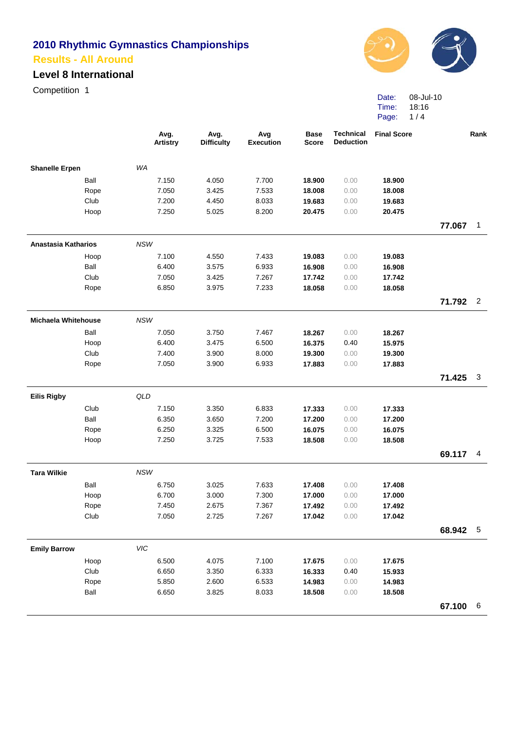#### **Level 8 International**

Competition 1



Date: Time: Page: 08-Jul-10 18:16 1 / 4

| WA<br><b>Shanelle Erpen</b><br>Ball<br>7.150<br>7.700<br>18.900<br>18.900<br>4.050<br>0.00<br>18.008<br>18.008<br>Rope<br>7.050<br>3.425<br>7.533<br>0.00<br>Club<br>19.683<br>7.200<br>4.450<br>8.033<br>19.683<br>0.00<br>Hoop<br>20.475<br>7.250<br>5.025<br>8.200<br>20.475<br>0.00<br>77.067<br>$\mathbf{1}$<br>Anastasia Katharios<br><b>NSW</b><br>7.100<br>4.550<br>7.433<br>19.083<br>19.083<br>Hoop<br>0.00<br>Ball<br>6.400<br>3.575<br>6.933<br>16.908<br>0.00<br>16.908<br>Club<br>17.742<br>7.050<br>3.425<br>7.267<br>17.742<br>0.00<br>6.850<br>3.975<br>7.233<br>18.058<br>0.00<br>18.058<br>Rope<br>$\overline{2}$<br>71.792<br><b>NSW</b><br><b>Michaela Whitehouse</b><br>7.050<br>Ball<br>3.750<br>7.467<br>18.267<br>0.00<br>18.267<br>6.400<br>3.475<br>6.500<br>16.375<br>0.40<br>15.975<br>Hoop<br>Club<br>7.400<br>3.900<br>8.000<br>19.300<br>0.00<br>19.300<br>Rope<br>7.050<br>3.900<br>6.933<br>0.00<br>17.883<br>17.883<br>71.425<br>$\mathbf{3}$<br>QLD<br><b>Eilis Rigby</b><br>Club<br>7.150<br>6.833<br>3.350<br>0.00<br>17.333<br>17.333<br>Ball<br>6.350<br>7.200<br>3.650<br>17.200<br>0.00<br>17.200<br>6.500<br>Rope<br>6.250<br>3.325<br>16.075<br>0.00<br>16.075<br>7.250<br>3.725<br>7.533<br>0.00<br>18.508<br>Hoop<br>18.508<br>69.117<br>4<br><b>Tara Wilkie</b><br><b>NSW</b> |
|------------------------------------------------------------------------------------------------------------------------------------------------------------------------------------------------------------------------------------------------------------------------------------------------------------------------------------------------------------------------------------------------------------------------------------------------------------------------------------------------------------------------------------------------------------------------------------------------------------------------------------------------------------------------------------------------------------------------------------------------------------------------------------------------------------------------------------------------------------------------------------------------------------------------------------------------------------------------------------------------------------------------------------------------------------------------------------------------------------------------------------------------------------------------------------------------------------------------------------------------------------------------------------------------------------------------------|
|                                                                                                                                                                                                                                                                                                                                                                                                                                                                                                                                                                                                                                                                                                                                                                                                                                                                                                                                                                                                                                                                                                                                                                                                                                                                                                                              |
|                                                                                                                                                                                                                                                                                                                                                                                                                                                                                                                                                                                                                                                                                                                                                                                                                                                                                                                                                                                                                                                                                                                                                                                                                                                                                                                              |
|                                                                                                                                                                                                                                                                                                                                                                                                                                                                                                                                                                                                                                                                                                                                                                                                                                                                                                                                                                                                                                                                                                                                                                                                                                                                                                                              |
|                                                                                                                                                                                                                                                                                                                                                                                                                                                                                                                                                                                                                                                                                                                                                                                                                                                                                                                                                                                                                                                                                                                                                                                                                                                                                                                              |
|                                                                                                                                                                                                                                                                                                                                                                                                                                                                                                                                                                                                                                                                                                                                                                                                                                                                                                                                                                                                                                                                                                                                                                                                                                                                                                                              |
|                                                                                                                                                                                                                                                                                                                                                                                                                                                                                                                                                                                                                                                                                                                                                                                                                                                                                                                                                                                                                                                                                                                                                                                                                                                                                                                              |
|                                                                                                                                                                                                                                                                                                                                                                                                                                                                                                                                                                                                                                                                                                                                                                                                                                                                                                                                                                                                                                                                                                                                                                                                                                                                                                                              |
|                                                                                                                                                                                                                                                                                                                                                                                                                                                                                                                                                                                                                                                                                                                                                                                                                                                                                                                                                                                                                                                                                                                                                                                                                                                                                                                              |
|                                                                                                                                                                                                                                                                                                                                                                                                                                                                                                                                                                                                                                                                                                                                                                                                                                                                                                                                                                                                                                                                                                                                                                                                                                                                                                                              |
|                                                                                                                                                                                                                                                                                                                                                                                                                                                                                                                                                                                                                                                                                                                                                                                                                                                                                                                                                                                                                                                                                                                                                                                                                                                                                                                              |
|                                                                                                                                                                                                                                                                                                                                                                                                                                                                                                                                                                                                                                                                                                                                                                                                                                                                                                                                                                                                                                                                                                                                                                                                                                                                                                                              |
|                                                                                                                                                                                                                                                                                                                                                                                                                                                                                                                                                                                                                                                                                                                                                                                                                                                                                                                                                                                                                                                                                                                                                                                                                                                                                                                              |
|                                                                                                                                                                                                                                                                                                                                                                                                                                                                                                                                                                                                                                                                                                                                                                                                                                                                                                                                                                                                                                                                                                                                                                                                                                                                                                                              |
|                                                                                                                                                                                                                                                                                                                                                                                                                                                                                                                                                                                                                                                                                                                                                                                                                                                                                                                                                                                                                                                                                                                                                                                                                                                                                                                              |
|                                                                                                                                                                                                                                                                                                                                                                                                                                                                                                                                                                                                                                                                                                                                                                                                                                                                                                                                                                                                                                                                                                                                                                                                                                                                                                                              |
|                                                                                                                                                                                                                                                                                                                                                                                                                                                                                                                                                                                                                                                                                                                                                                                                                                                                                                                                                                                                                                                                                                                                                                                                                                                                                                                              |
|                                                                                                                                                                                                                                                                                                                                                                                                                                                                                                                                                                                                                                                                                                                                                                                                                                                                                                                                                                                                                                                                                                                                                                                                                                                                                                                              |
|                                                                                                                                                                                                                                                                                                                                                                                                                                                                                                                                                                                                                                                                                                                                                                                                                                                                                                                                                                                                                                                                                                                                                                                                                                                                                                                              |
|                                                                                                                                                                                                                                                                                                                                                                                                                                                                                                                                                                                                                                                                                                                                                                                                                                                                                                                                                                                                                                                                                                                                                                                                                                                                                                                              |
|                                                                                                                                                                                                                                                                                                                                                                                                                                                                                                                                                                                                                                                                                                                                                                                                                                                                                                                                                                                                                                                                                                                                                                                                                                                                                                                              |
|                                                                                                                                                                                                                                                                                                                                                                                                                                                                                                                                                                                                                                                                                                                                                                                                                                                                                                                                                                                                                                                                                                                                                                                                                                                                                                                              |
|                                                                                                                                                                                                                                                                                                                                                                                                                                                                                                                                                                                                                                                                                                                                                                                                                                                                                                                                                                                                                                                                                                                                                                                                                                                                                                                              |
|                                                                                                                                                                                                                                                                                                                                                                                                                                                                                                                                                                                                                                                                                                                                                                                                                                                                                                                                                                                                                                                                                                                                                                                                                                                                                                                              |
|                                                                                                                                                                                                                                                                                                                                                                                                                                                                                                                                                                                                                                                                                                                                                                                                                                                                                                                                                                                                                                                                                                                                                                                                                                                                                                                              |
|                                                                                                                                                                                                                                                                                                                                                                                                                                                                                                                                                                                                                                                                                                                                                                                                                                                                                                                                                                                                                                                                                                                                                                                                                                                                                                                              |
| Ball<br>6.750<br>3.025<br>7.633<br>17.408<br>0.00<br>17.408                                                                                                                                                                                                                                                                                                                                                                                                                                                                                                                                                                                                                                                                                                                                                                                                                                                                                                                                                                                                                                                                                                                                                                                                                                                                  |
| Hoop<br>6.700<br>3.000<br>7.300<br>0.00<br>17.000<br>17.000                                                                                                                                                                                                                                                                                                                                                                                                                                                                                                                                                                                                                                                                                                                                                                                                                                                                                                                                                                                                                                                                                                                                                                                                                                                                  |
| Rope<br>7.450<br>2.675<br>7.367<br>17.492<br>0.00<br>17.492                                                                                                                                                                                                                                                                                                                                                                                                                                                                                                                                                                                                                                                                                                                                                                                                                                                                                                                                                                                                                                                                                                                                                                                                                                                                  |
| 2.725<br>Club<br>7.050<br>7.267<br>0.00<br>17.042<br>17.042                                                                                                                                                                                                                                                                                                                                                                                                                                                                                                                                                                                                                                                                                                                                                                                                                                                                                                                                                                                                                                                                                                                                                                                                                                                                  |
| 68.942 5                                                                                                                                                                                                                                                                                                                                                                                                                                                                                                                                                                                                                                                                                                                                                                                                                                                                                                                                                                                                                                                                                                                                                                                                                                                                                                                     |
| VIC<br><b>Emily Barrow</b>                                                                                                                                                                                                                                                                                                                                                                                                                                                                                                                                                                                                                                                                                                                                                                                                                                                                                                                                                                                                                                                                                                                                                                                                                                                                                                   |
| 6.500<br>Hoop<br>4.075<br>7.100<br>0.00<br>17.675<br>17.675                                                                                                                                                                                                                                                                                                                                                                                                                                                                                                                                                                                                                                                                                                                                                                                                                                                                                                                                                                                                                                                                                                                                                                                                                                                                  |
| Club<br>6.650<br>3.350<br>6.333<br>0.40<br>16.333<br>15.933                                                                                                                                                                                                                                                                                                                                                                                                                                                                                                                                                                                                                                                                                                                                                                                                                                                                                                                                                                                                                                                                                                                                                                                                                                                                  |
| Rope<br>5.850<br>2.600<br>6.533<br>14.983<br>0.00<br>14.983                                                                                                                                                                                                                                                                                                                                                                                                                                                                                                                                                                                                                                                                                                                                                                                                                                                                                                                                                                                                                                                                                                                                                                                                                                                                  |
| Ball<br>6.650<br>3.825<br>8.033<br>18.508<br>0.00<br>18.508                                                                                                                                                                                                                                                                                                                                                                                                                                                                                                                                                                                                                                                                                                                                                                                                                                                                                                                                                                                                                                                                                                                                                                                                                                                                  |
| 67.100 6                                                                                                                                                                                                                                                                                                                                                                                                                                                                                                                                                                                                                                                                                                                                                                                                                                                                                                                                                                                                                                                                                                                                                                                                                                                                                                                     |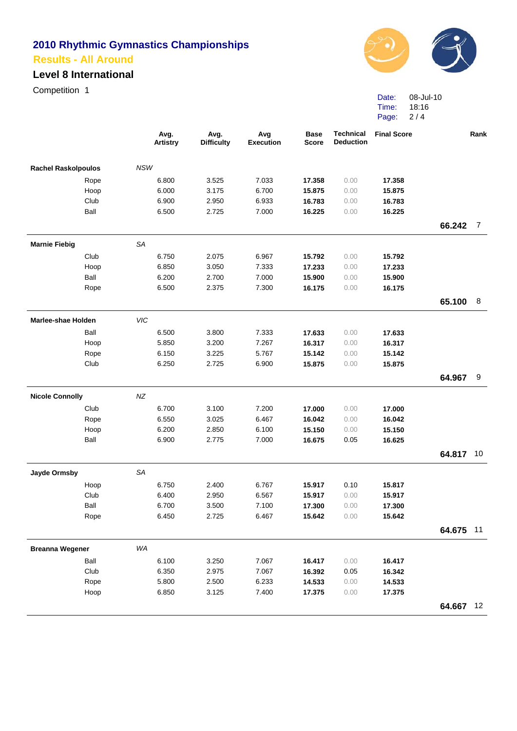# **Level 8 International**

Competition 1



Date: Time: Page: 08-Jul-10 18:16 2 / 4

|                            |            | Avg.<br><b>Artistry</b> | Avg.<br><b>Difficulty</b> | Avg<br><b>Execution</b> | <b>Base</b><br><b>Score</b> | <b>Technical</b><br><b>Deduction</b> | <b>Final Score</b> |           | Rank           |
|----------------------------|------------|-------------------------|---------------------------|-------------------------|-----------------------------|--------------------------------------|--------------------|-----------|----------------|
| <b>Rachel Raskolpoulos</b> | <b>NSW</b> |                         |                           |                         |                             |                                      |                    |           |                |
| Rope                       |            | 6.800                   | 3.525                     | 7.033                   | 17.358                      | 0.00                                 | 17.358             |           |                |
| Hoop                       |            | 6.000                   | 3.175                     | 6.700                   | 15.875                      | 0.00                                 | 15.875             |           |                |
| Club                       |            | 6.900                   | 2.950                     | 6.933                   | 16.783                      | 0.00                                 | 16.783             |           |                |
| Ball                       |            | 6.500                   | 2.725                     | 7.000                   | 16.225                      | 0.00                                 | 16.225             |           |                |
|                            |            |                         |                           |                         |                             |                                      |                    | 66.242    | $\overline{7}$ |
| <b>Marnie Fiebig</b>       | <b>SA</b>  |                         |                           |                         |                             |                                      |                    |           |                |
| Club                       |            | 6.750                   | 2.075                     | 6.967                   | 15.792                      | 0.00                                 | 15.792             |           |                |
| Hoop                       |            | 6.850                   | 3.050                     | 7.333                   | 17.233                      | 0.00                                 | 17.233             |           |                |
| Ball                       |            | 6.200                   | 2.700                     | 7.000                   | 15.900                      | 0.00                                 | 15.900             |           |                |
| Rope                       |            | 6.500                   | 2.375                     | 7.300                   | 16.175                      | 0.00                                 | 16.175             |           |                |
|                            |            |                         |                           |                         |                             |                                      |                    | 65.100    | 8              |
| Marlee-shae Holden         | VIC        |                         |                           |                         |                             |                                      |                    |           |                |
| Ball                       |            | 6.500                   | 3.800                     | 7.333                   | 17.633                      | 0.00                                 | 17.633             |           |                |
| Hoop                       |            | 5.850                   | 3.200                     | 7.267                   | 16.317                      | 0.00                                 | 16.317             |           |                |
| Rope                       |            | 6.150                   | 3.225                     | 5.767                   | 15.142                      | 0.00                                 | 15.142             |           |                |
| Club                       |            | 6.250                   | 2.725                     | 6.900                   | 15.875                      | 0.00                                 | 15.875             |           |                |
|                            |            |                         |                           |                         |                             |                                      |                    | 64.967    | 9              |
| <b>Nicole Connolly</b>     | NZ         |                         |                           |                         |                             |                                      |                    |           |                |
| Club                       |            | 6.700                   | 3.100                     | 7.200                   | 17.000                      | 0.00                                 | 17.000             |           |                |
| Rope                       |            | 6.550                   | 3.025                     | 6.467                   | 16.042                      | 0.00                                 | 16.042             |           |                |
| Hoop                       |            | 6.200                   | 2.850                     | 6.100                   | 15.150                      | 0.00                                 | 15.150             |           |                |
| Ball                       |            | 6.900                   | 2.775                     | 7.000                   | 16.675                      | 0.05                                 | 16.625             |           |                |
|                            |            |                         |                           |                         |                             |                                      |                    | 64.817 10 |                |
| <b>Jayde Ormsby</b>        | SA         |                         |                           |                         |                             |                                      |                    |           |                |
| Hoop                       |            | 6.750                   | 2.400                     | 6.767                   | 15.917                      | 0.10                                 | 15.817             |           |                |
| Club                       |            | 6.400                   | 2.950                     | 6.567                   | 15.917                      | 0.00                                 | 15.917             |           |                |
| Ball                       |            | 6.700                   | 3.500                     | 7.100                   | 17.300                      | 0.00                                 | 17.300             |           |                |
| Rope                       |            | 6.450                   | 2.725                     | 6.467                   | 15.642                      | 0.00                                 | 15.642             |           |                |
|                            |            |                         |                           |                         |                             |                                      |                    | 64.675 11 |                |
| <b>Breanna Wegener</b>     | WA         |                         |                           |                         |                             |                                      |                    |           |                |
| Ball                       |            | 6.100                   | 3.250                     | 7.067                   | 16.417                      | 0.00                                 | 16.417             |           |                |
| Club                       |            | 6.350                   | 2.975                     | 7.067                   | 16.392                      | 0.05                                 | 16.342             |           |                |
| Rope                       |            | 5.800                   | 2.500                     | 6.233                   | 14.533                      | 0.00                                 | 14.533             |           |                |
| Hoop                       |            | 6.850                   | 3.125                     | 7.400                   | 17.375                      | 0.00                                 | 17.375             |           |                |
|                            |            |                         |                           |                         |                             |                                      |                    | 64.667    | 12             |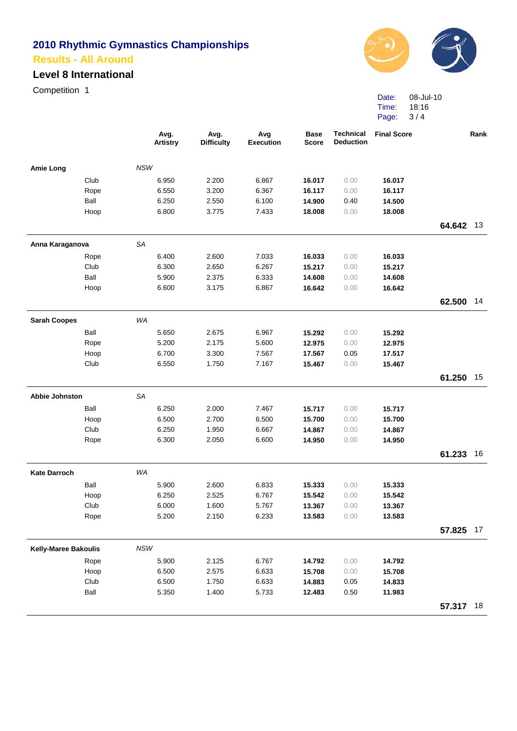# **Level 8 International**

Competition 1



Date: Time: Page: 3 / 4 08-Jul-10 18:16

|                             |      |            | Avg.<br><b>Artistry</b> | Avg.<br><b>Difficulty</b> | Avg<br><b>Execution</b> | <b>Base</b><br><b>Score</b> | <b>Technical</b><br><b>Deduction</b> | <b>Final Score</b> |           | Rank |
|-----------------------------|------|------------|-------------------------|---------------------------|-------------------------|-----------------------------|--------------------------------------|--------------------|-----------|------|
| <b>Amie Long</b>            |      | <b>NSW</b> |                         |                           |                         |                             |                                      |                    |           |      |
|                             | Club |            | 6.950                   | 2.200                     | 6.867                   | 16.017                      | 0.00                                 | 16.017             |           |      |
|                             | Rope |            | 6.550                   | 3.200                     | 6.367                   | 16.117                      | 0.00                                 | 16.117             |           |      |
|                             | Ball |            | 6.250                   | 2.550                     | 6.100                   | 14.900                      | 0.40                                 | 14.500             |           |      |
|                             | Hoop |            | 6.800                   | 3.775                     | 7.433                   | 18.008                      | 0.00                                 | 18.008             |           |      |
|                             |      |            |                         |                           |                         |                             |                                      |                    | 64.642 13 |      |
| Anna Karaganova             |      | <b>SA</b>  |                         |                           |                         |                             |                                      |                    |           |      |
|                             | Rope |            | 6.400                   | 2.600                     | 7.033                   | 16.033                      | 0.00                                 | 16.033             |           |      |
|                             | Club |            | 6.300                   | 2.650                     | 6.267                   | 15.217                      | 0.00                                 | 15.217             |           |      |
|                             | Ball |            | 5.900                   | 2.375                     | 6.333                   | 14.608                      | 0.00                                 | 14.608             |           |      |
|                             | Hoop |            | 6.600                   | 3.175                     | 6.867                   | 16.642                      | 0.00                                 | 16.642             |           |      |
|                             |      |            |                         |                           |                         |                             |                                      |                    | 62.500    | 14   |
| <b>Sarah Coopes</b>         |      | WA         |                         |                           |                         |                             |                                      |                    |           |      |
|                             | Ball |            | 5.650                   | 2.675                     | 6.967                   | 15.292                      | 0.00                                 | 15.292             |           |      |
|                             | Rope |            | 5.200                   | 2.175                     | 5.600                   | 12.975                      | 0.00                                 | 12.975             |           |      |
|                             | Hoop |            | 6.700                   | 3.300                     | 7.567                   | 17.567                      | 0.05                                 | 17.517             |           |      |
|                             | Club |            | 6.550                   | 1.750                     | 7.167                   | 15.467                      | 0.00                                 | 15.467             |           |      |
|                             |      |            |                         |                           |                         |                             |                                      |                    | 61.250    | 15   |
| <b>Abbie Johnston</b>       |      | <b>SA</b>  |                         |                           |                         |                             |                                      |                    |           |      |
|                             | Ball |            | 6.250                   | 2.000                     | 7.467                   | 15.717                      | 0.00                                 | 15.717             |           |      |
|                             | Hoop |            | 6.500                   | 2.700                     | 6.500                   | 15.700                      | 0.00                                 | 15.700             |           |      |
|                             | Club |            | 6.250                   | 1.950                     | 6.667                   | 14.867                      | 0.00                                 | 14.867             |           |      |
|                             | Rope |            | 6.300                   | 2.050                     | 6.600                   | 14.950                      | 0.00                                 | 14.950             |           |      |
|                             |      |            |                         |                           |                         |                             |                                      |                    | 61.233    | 16   |
| <b>Kate Darroch</b>         |      | WA         |                         |                           |                         |                             |                                      |                    |           |      |
|                             | Ball |            | 5.900                   | 2.600                     | 6.833                   | 15.333                      | 0.00                                 | 15.333             |           |      |
|                             | Hoop |            | 6.250                   | 2.525                     | 6.767                   | 15.542                      | 0.00                                 | 15.542             |           |      |
|                             | Club |            | 6.000                   | 1.600                     | 5.767                   | 13.367                      | 0.00                                 | 13.367             |           |      |
|                             | Rope |            | 5.200                   | 2.150                     | 6.233                   | 13.583                      | 0.00                                 | 13.583             |           |      |
|                             |      |            |                         |                           |                         |                             |                                      |                    | 57.825 17 |      |
| <b>Kelly-Maree Bakoulis</b> |      | <b>NSW</b> |                         |                           |                         |                             |                                      |                    |           |      |
|                             | Rope |            | 5.900                   | 2.125                     | 6.767                   | 14.792                      | 0.00                                 | 14.792             |           |      |
|                             | Hoop |            | 6.500                   | 2.575                     | 6.633                   | 15.708                      | 0.00                                 | 15.708             |           |      |
|                             | Club |            | 6.500                   | 1.750                     | 6.633                   | 14.883                      | 0.05                                 | 14.833             |           |      |
|                             | Ball |            | 5.350                   | 1.400                     | 5.733                   | 12.483                      | 0.50                                 | 11.983             |           |      |
|                             |      |            |                         |                           |                         |                             |                                      |                    | 57.317    | 18   |